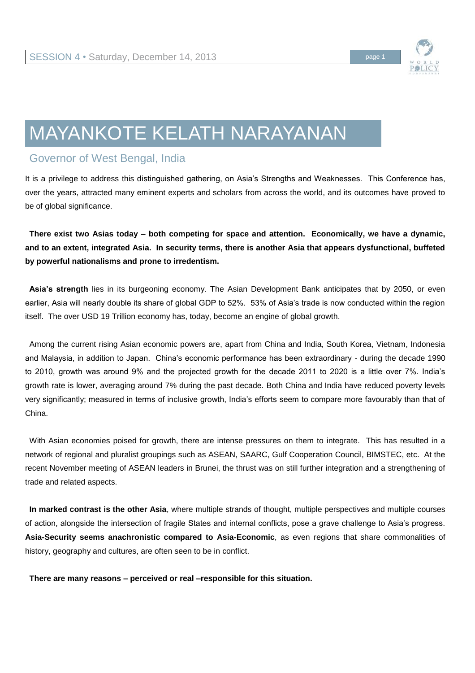

# MAYANKOTE KELATH NARAYANAN

# Governor of West Bengal, India

It is a privilege to address this distinguished gathering, on Asia's Strengths and Weaknesses. This Conference has, over the years, attracted many eminent experts and scholars from across the world, and its outcomes have proved to be of global significance.

**There exist two Asias today – both competing for space and attention. Economically, we have a dynamic, and to an extent, integrated Asia. In security terms, there is another Asia that appears dysfunctional, buffeted by powerful nationalisms and prone to irredentism.** 

**Asia's strength** lies in its burgeoning economy. The Asian Development Bank anticipates that by 2050, or even earlier, Asia will nearly double its share of global GDP to 52%. 53% of Asia's trade is now conducted within the region itself. The over USD 19 Trillion economy has, today, become an engine of global growth.

Among the current rising Asian economic powers are, apart from China and India, South Korea, Vietnam, Indonesia and Malaysia, in addition to Japan. China's economic performance has been extraordinary - during the decade 1990 to 2010, growth was around 9% and the projected growth for the decade 2011 to 2020 is a little over 7%. India's growth rate is lower, averaging around 7% during the past decade. Both China and India have reduced poverty levels very significantly; measured in terms of inclusive growth, India's efforts seem to compare more favourably than that of China.

With Asian economies poised for growth, there are intense pressures on them to integrate. This has resulted in a network of regional and pluralist groupings such as ASEAN, SAARC, Gulf Cooperation Council, BIMSTEC, etc. At the recent November meeting of ASEAN leaders in Brunei, the thrust was on still further integration and a strengthening of trade and related aspects.

**In marked contrast is the other Asia**, where multiple strands of thought, multiple perspectives and multiple courses of action, alongside the intersection of fragile States and internal conflicts, pose a grave challenge to Asia's progress. **Asia-Security seems anachronistic compared to Asia-Economic**, as even regions that share commonalities of history, geography and cultures, are often seen to be in conflict.

**There are many reasons – perceived or real –responsible for this situation.**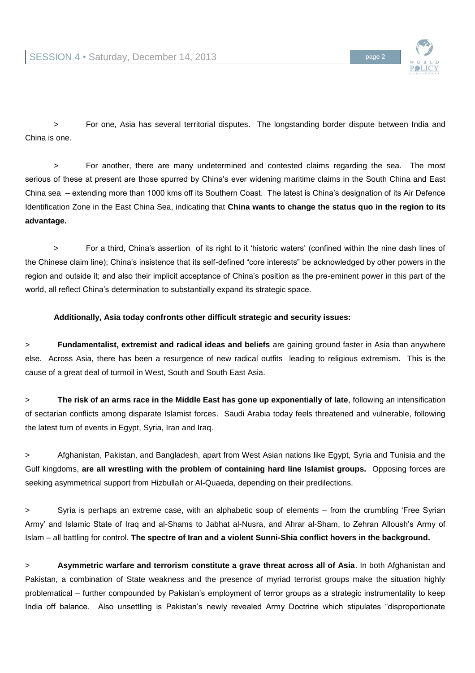

> For one, Asia has several territorial disputes. The longstanding border dispute between India and China is one.

> For another, there are many undetermined and contested claims regarding the sea. The most serious of these at present are those spurred by China's ever widening maritime claims in the South China and East China sea – extending more than 1000 kms off its Southern Coast. The latest is China's designation of its Air Defence Identification Zone in the East China Sea, indicating that **China wants to change the status quo in the region to its advantage.** 

> For a third, China's assertion of its right to it 'historic waters' (confined within the nine dash lines of the Chinese claim line); China's insistence that its self-defined "core interests" be acknowledged by other powers in the region and outside it; and also their implicit acceptance of China's position as the pre-eminent power in this part of the world, all reflect China's determination to substantially expand its strategic space.

## **Additionally, Asia today confronts other difficult strategic and security issues:**

> **Fundamentalist, extremist and radical ideas and beliefs** are gaining ground faster in Asia than anywhere else. Across Asia, there has been a resurgence of new radical outfits leading to religious extremism. This is the cause of a great deal of turmoil in West, South and South East Asia.

> **The risk of an arms race in the Middle East has gone up exponentially of late**, following an intensification of sectarian conflicts among disparate Islamist forces. Saudi Arabia today feels threatened and vulnerable, following the latest turn of events in Egypt, Syria, Iran and Iraq.

> Afghanistan, Pakistan, and Bangladesh, apart from West Asian nations like Egypt, Syria and Tunisia and the Gulf kingdoms, **are all wrestling with the problem of containing hard line Islamist groups.** Opposing forces are seeking asymmetrical support from Hizbullah or Al-Quaeda, depending on their predilections.

> Syria is perhaps an extreme case, with an alphabetic soup of elements – from the crumbling 'Free Syrian Army' and Islamic State of Iraq and al-Shams to Jabhat al-Nusra, and Ahrar al-Sham, to Zehran Alloush's Army of Islam – all battling for control. **The spectre of Iran and a violent Sunni-Shia conflict hovers in the background.** 

> **Asymmetric warfare and terrorism constitute a grave threat across all of Asia**. In both Afghanistan and Pakistan, a combination of State weakness and the presence of myriad terrorist groups make the situation highly problematical – further compounded by Pakistan's employment of terror groups as a strategic instrumentality to keep India off balance. Also unsettling is Pakistan's newly revealed Army Doctrine which stipulates "disproportionate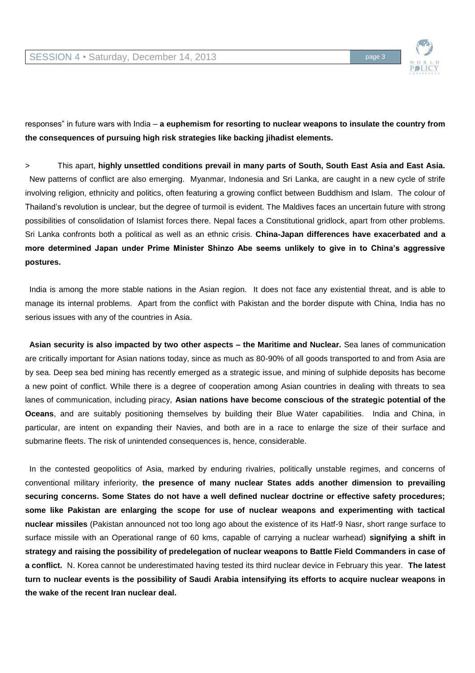

responses" in future wars with India – **a euphemism for resorting to nuclear weapons to insulate the country from the consequences of pursuing high risk strategies like backing jihadist elements.**

> This apart, **highly unsettled conditions prevail in many parts of South, South East Asia and East Asia.** New patterns of conflict are also emerging. Myanmar, Indonesia and Sri Lanka, are caught in a new cycle of strife involving religion, ethnicity and politics, often featuring a growing conflict between Buddhism and Islam. The colour of Thailand's revolution is unclear, but the degree of turmoil is evident. The Maldives faces an uncertain future with strong possibilities of consolidation of Islamist forces there. Nepal faces a Constitutional gridlock, apart from other problems. Sri Lanka confronts both a political as well as an ethnic crisis. **China-Japan differences have exacerbated and a more determined Japan under Prime Minister Shinzo Abe seems unlikely to give in to China's aggressive postures.** 

India is among the more stable nations in the Asian region. It does not face any existential threat, and is able to manage its internal problems. Apart from the conflict with Pakistan and the border dispute with China, India has no serious issues with any of the countries in Asia.

**Asian security is also impacted by two other aspects – the Maritime and Nuclear.** Sea lanes of communication are critically important for Asian nations today, since as much as 80-90% of all goods transported to and from Asia are by sea. Deep sea bed mining has recently emerged as a strategic issue, and mining of sulphide deposits has become a new point of conflict. While there is a degree of cooperation among Asian countries in dealing with threats to sea lanes of communication, including piracy, **Asian nations have become conscious of the strategic potential of the Oceans**, and are suitably positioning themselves by building their Blue Water capabilities. India and China, in particular, are intent on expanding their Navies, and both are in a race to enlarge the size of their surface and submarine fleets. The risk of unintended consequences is, hence, considerable.

In the contested geopolitics of Asia, marked by enduring rivalries, politically unstable regimes, and concerns of conventional military inferiority, **the presence of many nuclear States adds another dimension to prevailing securing concerns. Some States do not have a well defined nuclear doctrine or effective safety procedures; some like Pakistan are enlarging the scope for use of nuclear weapons and experimenting with tactical nuclear missiles** (Pakistan announced not too long ago about the existence of its Hatf-9 Nasr, short range surface to surface missile with an Operational range of 60 kms, capable of carrying a nuclear warhead) **signifying a shift in strategy and raising the possibility of predelegation of nuclear weapons to Battle Field Commanders in case of a conflict.** N. Korea cannot be underestimated having tested its third nuclear device in February this year. **The latest turn to nuclear events is the possibility of Saudi Arabia intensifying its efforts to acquire nuclear weapons in the wake of the recent Iran nuclear deal.**